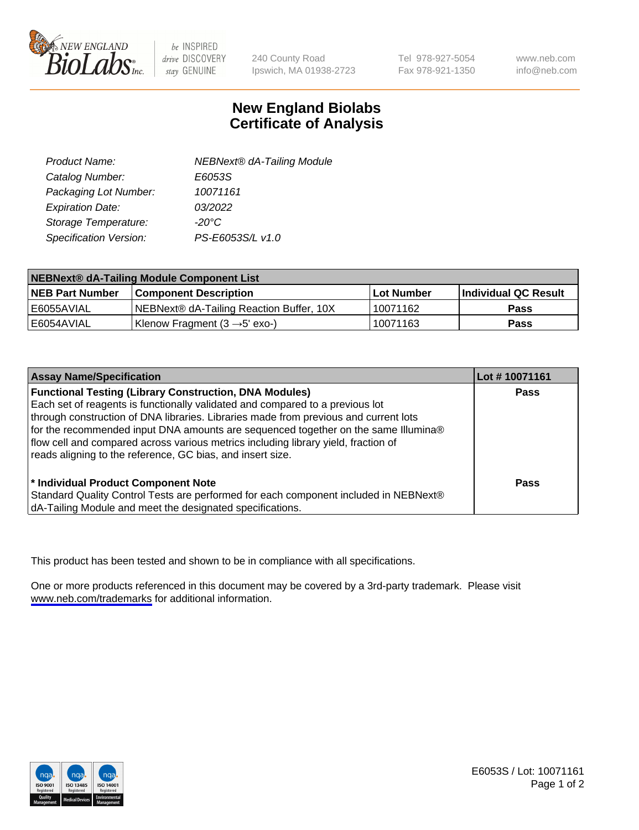

be INSPIRED drive DISCOVERY stay GENUINE

240 County Road Ipswich, MA 01938-2723 Tel 978-927-5054 Fax 978-921-1350

www.neb.com info@neb.com

## **New England Biolabs Certificate of Analysis**

| Product Name:           | <b>NEBNext® dA-Tailing Module</b> |
|-------------------------|-----------------------------------|
| Catalog Number:         | E6053S                            |
| Packaging Lot Number:   | 10071161                          |
| <b>Expiration Date:</b> | 03/2022                           |
| Storage Temperature:    | $-20^{\circ}$ C                   |
| Specification Version:  | PS-E6053S/L v1.0                  |

| NEBNext® dA-Tailing Module Component List |                                           |            |                      |  |
|-------------------------------------------|-------------------------------------------|------------|----------------------|--|
| <b>NEB Part Number</b>                    | <b>Component Description</b>              | Lot Number | Individual QC Result |  |
| l E6055AVIAL                              | NEBNext® dA-Tailing Reaction Buffer, 10X  | 10071162   | <b>Pass</b>          |  |
| I E6054AVIAL                              | Klenow Fragment $(3 \rightarrow 5'$ exo-) | 10071163   | <b>Pass</b>          |  |

| <b>Assay Name/Specification</b>                                                                                                                                                                                                                                                                                                                                                                                                                                                  | Lot #10071161 |
|----------------------------------------------------------------------------------------------------------------------------------------------------------------------------------------------------------------------------------------------------------------------------------------------------------------------------------------------------------------------------------------------------------------------------------------------------------------------------------|---------------|
| <b>Functional Testing (Library Construction, DNA Modules)</b><br>Each set of reagents is functionally validated and compared to a previous lot<br>through construction of DNA libraries. Libraries made from previous and current lots<br>for the recommended input DNA amounts are sequenced together on the same Illumina®<br>flow cell and compared across various metrics including library yield, fraction of<br>reads aligning to the reference, GC bias, and insert size. | <b>Pass</b>   |
| <sup>*</sup> Individual Product Component Note<br>Standard Quality Control Tests are performed for each component included in NEBNext®<br>dA-Tailing Module and meet the designated specifications.                                                                                                                                                                                                                                                                              | Pass          |

This product has been tested and shown to be in compliance with all specifications.

One or more products referenced in this document may be covered by a 3rd-party trademark. Please visit <www.neb.com/trademarks>for additional information.